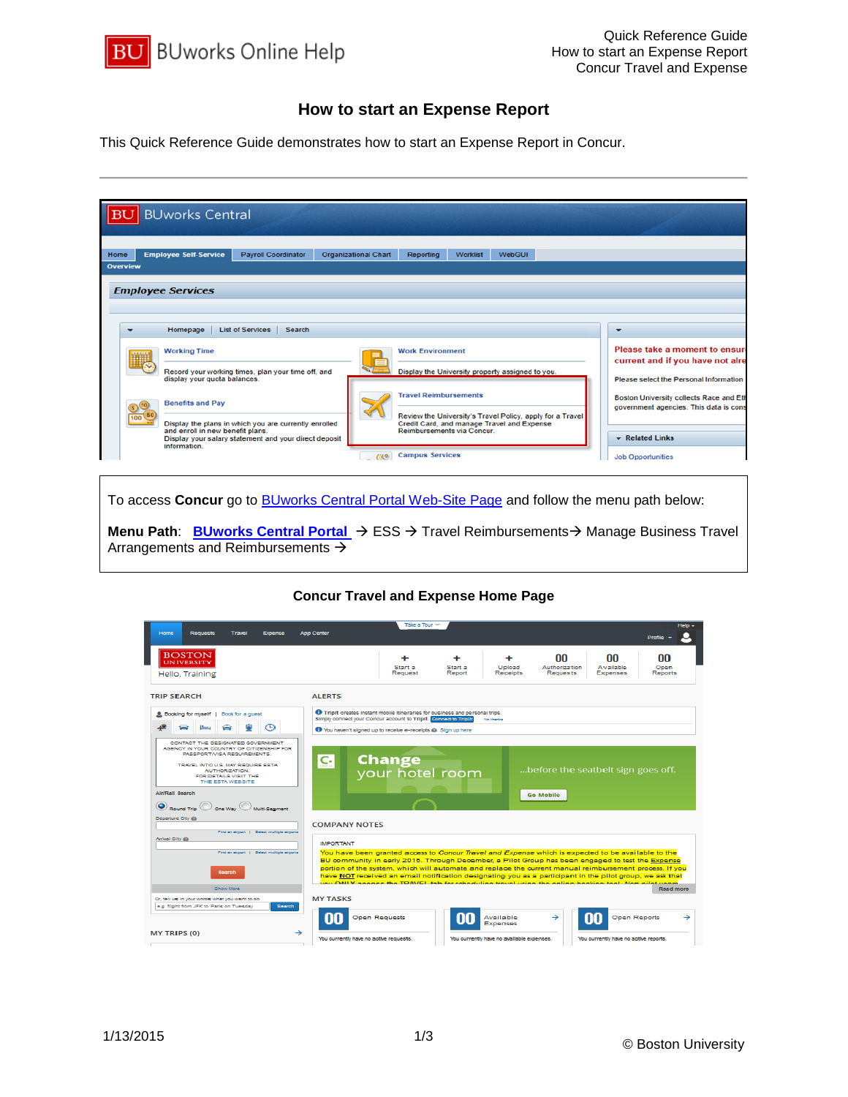

## **How to start an Expense Report**

This Quick Reference Guide demonstrates how to start an Expense Report in Concur.



To access **Concur** go to [BUworks Central Portal Web-Site Page](https://ppo.buw.bu.edu/) and follow the menu path below:

**Menu Path: [BUworks Central Portal](https://ppo.buw.bu.edu/)** → ESS → Travel Reimbursements → Manage Business Travel Arrangements and Reimbursements  $\rightarrow$ 

## **Concur Travel and Expense Home Page**

| Home<br><b>Requests</b><br>Travel<br>Expense                                                                                                                                                                                                                                                                                                                                  | <b>App Center</b>                                                                                                                                                                                                                                                                                                                                                                                                                                                                                                                                                            | Take a Tour Y                    |                   |                                           |                                                        |                                       | <b>Help</b><br>Profile |
|-------------------------------------------------------------------------------------------------------------------------------------------------------------------------------------------------------------------------------------------------------------------------------------------------------------------------------------------------------------------------------|------------------------------------------------------------------------------------------------------------------------------------------------------------------------------------------------------------------------------------------------------------------------------------------------------------------------------------------------------------------------------------------------------------------------------------------------------------------------------------------------------------------------------------------------------------------------------|----------------------------------|-------------------|-------------------------------------------|--------------------------------------------------------|---------------------------------------|------------------------|
| <b>BOSTON</b><br><b>UNIVERSIT</b><br>Hello, Training                                                                                                                                                                                                                                                                                                                          |                                                                                                                                                                                                                                                                                                                                                                                                                                                                                                                                                                              | Start a<br>Request               | Start a<br>Report | Upload<br><b>Receipts</b>                 | nn<br>Authorization<br><b>Requests</b>                 | nn<br>Available<br><b>Expenses</b>    | nn<br>Open<br>Reports  |
| <b>TRIP SEARCH</b>                                                                                                                                                                                                                                                                                                                                                            | <b>ALERTS</b>                                                                                                                                                                                                                                                                                                                                                                                                                                                                                                                                                                |                                  |                   |                                           |                                                        |                                       |                        |
| <b>A Booking for myself</b>   Book for a guest<br>മ<br>ىظا<br>CONTACT THE DESIGNATED GOVERNMENT.<br>AGENCY IN YOUR COUNTRY OF CITIZENSHIP FOR<br><b>PASSPORTA/ISA REQUIREMENTS</b><br>TRAVEL INTO U.S. MAY REQUIRE ESTA.<br>AUTHORIZATION.<br>FOR DETAILS VISIT THE<br>THE ESTA WEBSITE<br><b>Air/Rall Search</b><br>$\odot$ Round Trip $\odot$ and Way $\odot$ Multi-Segment | <b>O</b> Tripit creates instant mobile itineraries for business and personal trips.<br>Simply connect your Concur account to Tripit. Depression Tripit<br>Wou haven't signed up to receive e-receipts.@ Sign up here<br>C <sub>2</sub>                                                                                                                                                                                                                                                                                                                                       | <b>Change</b><br>your hotel room |                   | No therital                               | before the seatbelt sign goes off.<br><b>Go Mobile</b> |                                       |                        |
| Departure City @<br>Find an airport   Select multiple airports<br>Arrival City @                                                                                                                                                                                                                                                                                              | <b>COMPANY NOTES</b>                                                                                                                                                                                                                                                                                                                                                                                                                                                                                                                                                         |                                  |                   |                                           |                                                        |                                       |                        |
| First an airport 1 Select multiple airports<br><b>Search</b><br>Show More                                                                                                                                                                                                                                                                                                     | <b>IMPORTANT</b><br>You have been granted access to Concur Travel and Expense which is expected to be available to the<br>BU community in early 2015. Through December, a Pilot Group has been engaged to test the Expense<br>portion of the system, which will automate and replace the current manual reimbursement process. If you<br>have NOT received an email notification designating you as a participant in the pilot group, we ask that<br>vou ONI V sonore the TDAVEL tak for rebeduling travel vrieg the online booking tool. Nee allet usem<br><b>Read more</b> |                                  |                   |                                           |                                                        |                                       |                        |
| Or, tell us in your words what you want to do<br>e.g. filight from JFK to Paris on Tuesday<br>Search                                                                                                                                                                                                                                                                          | <b>MY TASKS</b>                                                                                                                                                                                                                                                                                                                                                                                                                                                                                                                                                              | <b>Open Requests</b>             |                   | Available<br><b>Expenses</b>              | →                                                      | Open Reports                          | $\rightarrow$          |
| →<br><b>MY TRIPS (0)</b>                                                                                                                                                                                                                                                                                                                                                      | You currently have no active requests.                                                                                                                                                                                                                                                                                                                                                                                                                                                                                                                                       |                                  |                   | You currently have no available expenses. |                                                        | You currently have no active reports. |                        |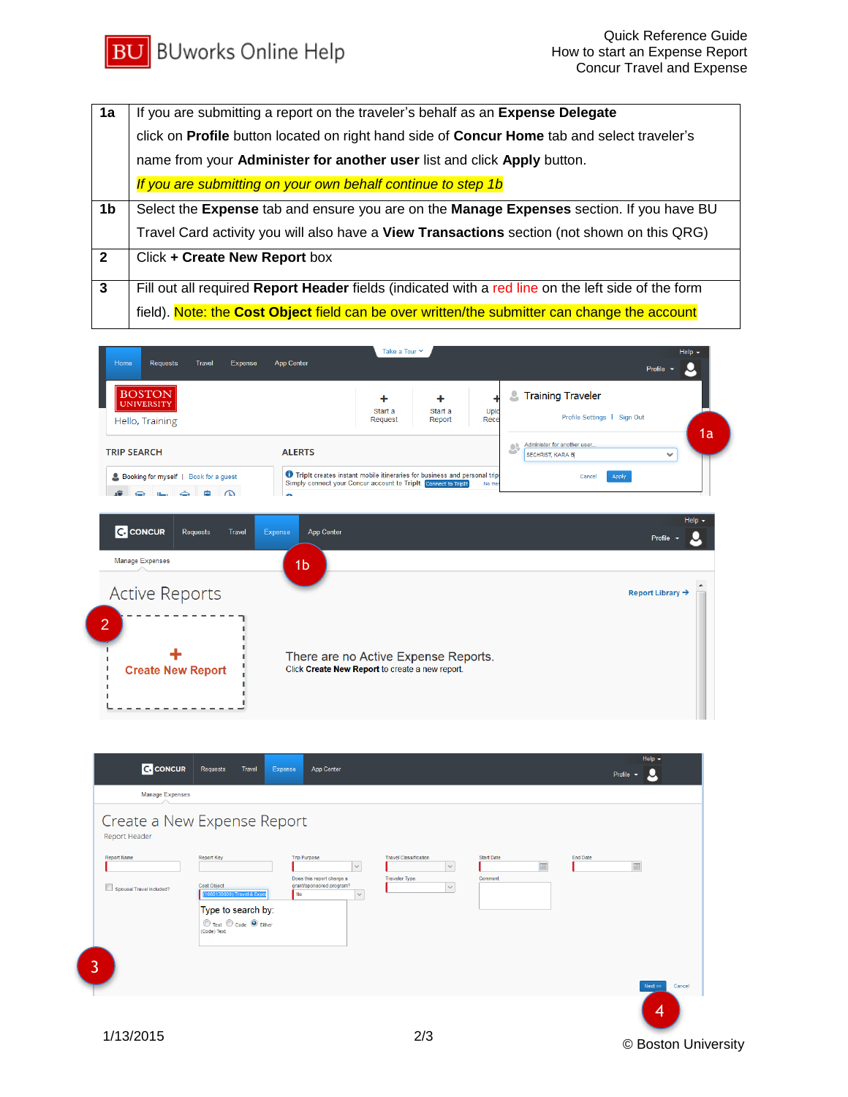

| 1a             | If you are submitting a report on the traveler's behalf as an Expense Delegate                     |  |  |  |  |  |  |
|----------------|----------------------------------------------------------------------------------------------------|--|--|--|--|--|--|
|                | click on Profile button located on right hand side of Concur Home tab and select traveler's        |  |  |  |  |  |  |
|                | name from your Administer for another user list and click Apply button.                            |  |  |  |  |  |  |
|                | If you are submitting on your own behalf continue to step 1b                                       |  |  |  |  |  |  |
| 1b             | Select the Expense tab and ensure you are on the Manage Expenses section. If you have BU           |  |  |  |  |  |  |
|                | Travel Card activity you will also have a View Transactions section (not shown on this QRG)        |  |  |  |  |  |  |
| $\overline{2}$ | Click + Create New Report box                                                                      |  |  |  |  |  |  |
| $\mathbf{3}$   | Fill out all required Report Header fields (indicated with a red line on the left side of the form |  |  |  |  |  |  |
|                | field). Note: the Cost Object field can be over written/the submitter can change the account       |  |  |  |  |  |  |